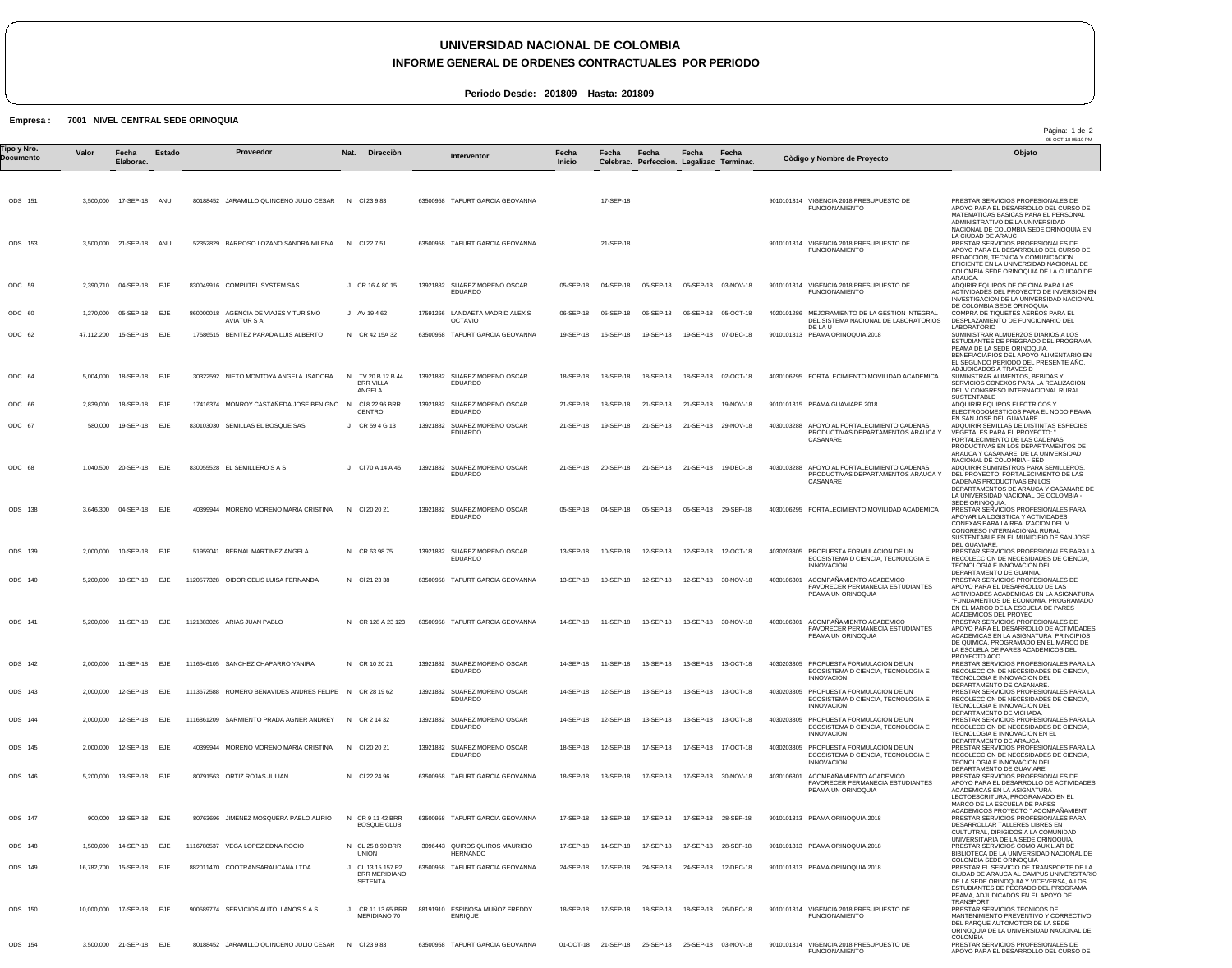## **UNIVERSIDAD NACIONAL DE COLOMBIA**

## **INFORME GENERAL DE ORDENES CONTRACTUALES POR PERIODO**

Pàgina: 1 de 2

**Periodo Desde: 201809 Hasta: 201809**

## **Empresa : 7001 NIVEL CENTRAL SEDE ORINOQUIA**

|                          |            |                          |            |          |                                                             |                                                    |          |                                                   |                        |                                                   |                                                    |                     |                      |                                                                                                      | 05-OCT-18 05:10 PM                                                                                                                                                                                                                                                 |
|--------------------------|------------|--------------------------|------------|----------|-------------------------------------------------------------|----------------------------------------------------|----------|---------------------------------------------------|------------------------|---------------------------------------------------|----------------------------------------------------|---------------------|----------------------|------------------------------------------------------------------------------------------------------|--------------------------------------------------------------------------------------------------------------------------------------------------------------------------------------------------------------------------------------------------------------------|
| Tipo y Nro.<br>Documento | Valor      | Fecha<br>Elaborac.       | Estado     |          | Proveedor                                                   | Nat.<br>Direcciòn                                  |          | Interventor                                       | Fecha<br><b>Inicio</b> | Fecha                                             | Fecha<br>Celebrac. Perfeccion. Legalizac Terminac. | Fecha               | Fecha                | Còdigo y Nombre de Proyecto                                                                          | Objeto                                                                                                                                                                                                                                                             |
|                          |            |                          |            |          |                                                             |                                                    |          |                                                   |                        |                                                   |                                                    |                     |                      |                                                                                                      |                                                                                                                                                                                                                                                                    |
| ODS 151                  |            | 3,500,000 17-SEP-18 ANU  |            |          | 80188452 JARAMILLO QUINCENO JULIO CESAR N CI 23 9 83        |                                                    |          | 63500958 TAFURT GARCIA GEOVANNA                   |                        | 17-SEP-18                                         |                                                    |                     |                      | 9010101314 VIGENCIA 2018 PRESUPUESTO DE<br><b>FUNCIONAMIENTO</b>                                     | PRESTAR SERVICIOS PROFESIONALES DE<br>APOYO PARA EL DESARROLLO DEL CURSO DE<br>MATEMATICAS BASICAS PARA EL PERSONAL<br>ADMINISTRATIVO DE LA UNIVERSIDAD<br>NACIONAL DE COLOMBIA SEDE ORINOQUIA EN                                                                  |
| ODS 153                  |            | 3,500,000 21-SEP-18 ANU  |            |          | 52352829 BARROSO LOZANO SANDRA MILENA                       | N CI 22 7 51                                       |          | 63500958 TAFURT GARCIA GEOVANNA                   |                        | 21-SEP-18                                         |                                                    |                     |                      | 9010101314 VIGENCIA 2018 PRESUPUESTO DE<br><b>FUNCIONAMIENTO</b>                                     | LA CIUDAD DE ARAUC<br>PRESTAR SERVICIOS PROFESIONALES DE<br>APOYO PARA EL DESARROLLO DEL CURSO DE<br>REDACCION, TECNICA Y COMUNICACION<br>EFICIENTE EN LA UNIVERSIDAD NACIONAL DE                                                                                  |
| ODC 59                   |            | 2,390,710 04-SEP-18 EJE  |            |          | 830049916 COMPUTEL SYSTEM SAS                               | J CR 16 A 80 15                                    |          | 13921882 SUAREZ MORENO OSCAR<br>EDUARDO           | 05-SEP-18              | 04-SEP-18                                         | 05-SEP-18                                          | 05-SEP-18 03-NOV-18 |                      | 9010101314 VIGENCIA 2018 PRESUPUESTO DE<br><b>FUNCIONAMIENTO</b>                                     | COLOMBIA SEDE ORINOQUIA DE LA CUIDAD DE<br>ARAUCA.<br>ADQIRIR EQUIPOS DE OFICINA PARA LAS<br>ACTIVIDADES DEL PROYECTO DE INVERSION EN<br>INVESTIGACION DE LA UNIVERSIDAD NACIONAL                                                                                  |
| ODC 60                   | 1,270,000  | 05-SEP-18                | EJE        |          | 860000018 AGENCIA DE VIAJES Y TURISMO<br><b>AVIATUR S A</b> | J AV 19462                                         |          | 17591266 LANDAETA MADRID ALEXIS<br><b>OCTAVIO</b> | 06-SEP-18              | 05-SEP-18                                         | 06-SEP-18                                          |                     | 06-SEP-18 05-OCT-18  | 4020101286 MEJORAMIENTO DE LA GESTIÓN INTEGRAL<br>DEL SISTEMA NACIONAL DE LABORATORIOS               | DE COLOMBIA SEDE ORINOQUIA<br>COMPRA DE TIQUETES AEREOS PARA EL<br>DESPLAZAMIENTO DE FUNCIONARIO DEL                                                                                                                                                               |
| ODC 62                   | 47,112,200 | 15-SEP-18                | EJE        |          | 17586515 BENITEZ PARADA LUIS ALBERTO                        | N CR 42 15A 32                                     |          | 63500958 TAFURT GARCIA GEOVANNA                   | 19-SEP-18              | 15-SEP-18                                         | 19-SEP-18                                          |                     | 19-SEP-18 07-DEC-18  | DE LA U<br>9010101313 PEAMA ORINOQUIA 2018                                                           | <b>LABORATORIO</b><br>SUMINISTRAR ALMUERZOS DIARIOS A LOS<br>ESTUDIANTES DE PREGRADO DEL PROGRAMA<br>PEAMA DE LA SEDE ORINOQUIA<br>BENEFIACIARIOS DEL APOYO ALIMENTARIO EN<br>EL SEGUNDO PERIODO DEL PRESENTE AÑO,                                                 |
| ODC 64                   |            | 5,004,000 18-SEP-18      | EJE        |          | 30322592 NIETO MONTOYA ANGELA ISADORA                       | TV 20 B 12 B 44<br>N<br><b>BRR VILLA</b><br>ANGELA | 13921882 | SUAREZ MORENO OSCAR<br>EDUARDO                    | 18-SEP-18              | 18-SEP-18                                         | 18-SEP-18                                          |                     | 18-SEP-18 02-OCT-18  | 4030106295 FORTALECIMIENTO MOVILIDAD ACADEMICA                                                       | ADJUDICADOS A TRAVES D<br>SUMINSTRAR ALIMENTOS, BEBIDAS Y<br>SERVICIOS CONEXOS PARA LA REALIZACION<br>DEL V CONGRESO INTERNACIONAL RURAL                                                                                                                           |
| ODC 66                   | 2,839,000  | 18-SEP-18                | EJE        |          | 17416374 MONROY CASTAÑEDA JOSE BENIGNO                      | CI 8 22 96 BRR<br>N<br>CENTRO                      |          | 13921882 SUAREZ MORENO OSCAR<br>EDUARDO           | 21-SEP-18              | 18-SEP-18                                         | 21-SEP-18                                          |                     | 21-SEP-18 19-NOV-18  | 9010101315 PEAMA GUAVIARE 2018                                                                       | SUSTENTABLE<br>ADQUIRIR EQUIPOS ELECTRICOS Y<br>ELECTRODOMESTICOS PARA EL NODO PEAMA                                                                                                                                                                               |
| ODC 67                   | 580,000    | 19-SEP-18                | EJE        |          | 830103030 SEMILLAS EL BOSQUE SAS                            | J CR 59 4 G 13                                     |          | 13921882 SUAREZ MORENO OSCAR<br>EDUARDO           | 21-SEP-18              | 19-SEP-18                                         | 21-SEP-18                                          | 21-SEP-18 29-NOV-18 |                      | 4030103288 APOYO AL FORTALECIMIENTO CADENAS<br>PRODUCTIVAS DEPARTAMENTOS ARAUCA Y<br>CASANARE        | EN SAN JOSE DEL GUAVIARE<br>ADQUIRIR SEMILLAS DE DISTINTAS ESPECIES<br>VEGETALES PARA EL PROYECTO:<br>FORTALECIMIENTO DE LAS CADENAS<br>PRODUCTIVAS EN LOS DEPARTAMENTOS DE                                                                                        |
| ODC 68                   |            | 1,040,500 20-SEP-18 EJE  |            |          | 830055528 EL SEMILLERO S A S                                | J CI 70 A 14 A 45                                  | 13921882 | SUAREZ MORENO OSCAR<br>EDUARDO                    | 21-SEP-18              | 20-SEP-18                                         | 21-SEP-18                                          | 21-SEP-18 19-DEC-18 |                      | 4030103288 APOYO AL FORTALECIMIENTO CADENAS<br>PRODUCTIVAS DEPARTAMENTOS ARAUCA Y<br>CASANARE        | ARAUCA Y CASANARE, DE LA UNIVERSIDAD<br>NACIONAL DE COLOMBIA - SED<br>ADQUIRIR SUMINISTROS PARA SEMILLEROS<br>DEL PROYECTO: FORTALECIMIENTO DE LAS<br>CADENAS PRODUCTIVAS EN LOS<br>DEPARTAMENTOS DE ARAUCA Y CASANARE DE<br>LA UNIVERSIDAD NACIONAL DE COLOMBIA - |
| <b>ODS 138</b>           |            | 3,646,300 04-SEP-18 EJE  |            |          | 40399944 MORENO MORENO MARIA CRISTINA                       | N CI 20 20 21                                      |          | 13921882 SUAREZ MORENO OSCAR<br>EDUARDO           | 05-SEP-18              | 04-SEP-18                                         | 05-SEP-18                                          | 05-SEP-18           | 29-SEP-18            | 4030106295 FORTALECIMIENTO MOVILIDAD ACADEMICA                                                       | SEDE ORINOQUIA.<br>PRESTAR SERVICIOS PROFESIONALES PARA<br>APOYAR LA LOGISTICA Y ACTIVIDADES<br>CONEXAS PARA LA REALIZACION DEL V<br>CONGRESO INTERNACIONAL RURAL<br>SUSTENTABLE EN EL MUNICIPIO DE SAN JOSE                                                       |
| ODS 139                  | 2,000,000  | 10-SEP-18                | EJE        | 51959041 | BERNAL MARTINEZ ANGELA                                      | N CR 63 98 75                                      |          | 13921882 SUAREZ MORENO OSCAR<br>EDUARDO           | 13-SEP-18              | 10-SEP-18                                         | 12-SEP-18                                          |                     | 12-SEP-18  12-OCT-18 | 4030203305 PROPUESTA FORMULACION DE UN<br>ECOSISTEMA D CIENCIA, TECNOLOGIA E<br><b>INNOVACION</b>    | DEL GUAVIARE.<br>PRESTAR SERVICIOS PROFESIONALES PARA LA<br>RECOLECCION DE NECESIDADES DE CIENCIA,<br>TECNOLOGIA E INNOVACION DEL                                                                                                                                  |
| ODS 140                  | 5,200,000  | 10-SEP-18                | EJE        |          | 1120577328 OIDOR CELIS LUISA FERNANDA                       | N CI 21 23 38                                      |          | 63500958 TAFURT GARCIA GEOVANNA                   | 13-SEP-18              | 10-SEP-18                                         | 12-SEP-18                                          |                     | 12-SEP-18 30-NOV-18  | 4030106301 ACOMPAÑAMIENTO ACADEMICO<br>FAVORECER PERMANECIA ESTUDIANTES<br>PEAMA UN ORINOQUIA        | DEPARTAMENTO DE GUAINIA.<br>PRESTAR SERVICIOS PROFESIONALES DE<br>APOYO PARA EL DESARROLLO DE LAS<br>ACTIVIDADES ACADEMICAS EN LA ASIGNATURA<br>"FUNDAMENTOS DE ECONOMIA, PROGRAMADO<br>EN EL MARCO DE LA ESCUELA DE PARES                                         |
| ODS 141                  |            | 5.200.000 11-SEP-18 EJE  |            |          | 1121883026 ARIAS JUAN PABLO                                 | N CR 128 A 23 123                                  |          | 63500958 TAFURT GARCIA GEOVANNA                   | 14-SEP-18              | 11-SEP-18                                         | 13-SEP-18                                          |                     | 13-SEP-18 30-NOV-18  | 4030106301 ACOMPAÑAMIENTO ACADEMICO<br><b>FAVORECER PERMANECIA ESTUDIANTES</b><br>PEAMA UN ORINOQUIA | ACADEMICOS DEL PROYEC<br>PRESTAR SERVICIOS PROFESIONALES DE<br>APOYO PARA EL DESARROLLO DE ACTIVIDADES<br>ACADEMICAS EN LA ASIGNATURA PRINCIPIOS<br>DE QUIMICA, PROGRAMADO EN EL MARCO DE<br>LA ESCUELA DE PARES ACADEMICOS DEL                                    |
| ODS 142                  |            | 2,000,000 11-SEP-18      | <b>EJE</b> |          | 1116546105 SANCHEZ CHAPARRO YANIRA                          | N CR 10 20 21                                      |          | 13921882 SUAREZ MORENO OSCAR<br>EDUARDO           | 14-SEP-18              | 11-SEP-18                                         | 13-SEP-18                                          |                     | 13-SEP-18  13-OCT-18 | 4030203305 PROPUESTA FORMULACION DE UN<br>ECOSISTEMA D CIENCIA, TECNOLOGIA E<br><b>INNOVACION</b>    | PROYECTO ACO<br>PRESTAR SERVICIOS PROFESIONALES PARA LA<br>RECOLECCION DE NECESIDADES DE CIENCIA,<br>TECNOLOGIA E INNOVACION DEL                                                                                                                                   |
| ODS 143                  |            | 2,000,000 12-SEP-18 EJE  |            |          | 1113672588 ROMERO BENAVIDES ANDRES FELIPE N CR 28 19 62     |                                                    |          | 13921882 SUAREZ MORENO OSCAR<br>EDUARDO           | 14-SEP-18              | 12-SEP-18                                         | 13-SEP-18                                          |                     | 13-SEP-18 13-OCT-18  | 4030203305 PROPUESTA FORMULACION DE UN<br>ECOSISTEMA D CIENCIA. TECNOLOGIA E<br><b>INNOVACION</b>    | DEPARTAMENTO DE CASANARE.<br>PRESTAR SERVICIOS PROFESIONALES PARA LA<br>RECOLECCION DE NECESIDADES DE CIENCIA.<br>TECNOLOGIA E INNOVACION DEL<br>DEPARTAMENTO DE VICHADA.                                                                                          |
| ODS 144                  | 2,000,000  | 12-SEP-18                | EJE        |          | 1116861209 SARMIENTO PRADA AGNER ANDREY                     | N CR 2 14 32                                       | 13921882 | SUAREZ MORENO OSCAR<br>EDUARDO                    | 14-SEP-18              | 12-SEP-18                                         | 13-SEP-18                                          |                     | 13-SEP-18 13-OCT-18  | 4030203305 PROPUESTA FORMULACION DE UN<br>ECOSISTEMA D CIENCIA. TECNOLOGIA E<br><b>INNOVACION</b>    | PRESTAR SERVICIOS PROFESIONALES PARA LA<br>RECOLECCION DE NECESIDADES DE CIENCIA,<br>TECNOLOGIA E INNOVACION EN EL<br>DEPARTAMENTO DE ARAUCA                                                                                                                       |
| ODS 145                  | 2,000,000  | 12-SEP-18 EJE            |            |          | 40399944 MORENO MORENO MARIA CRISTINA                       | N CI 20 20 21                                      |          | 13921882 SUAREZ MORENO OSCAR<br>EDUARDO           | 18-SEP-18              | 12-SEP-18                                         | 17-SEP-18                                          |                     | 17-SEP-18  17-OCT-18 | 4030203305 PROPUESTA FORMULACION DE UN<br>ECOSISTEMA D CIENCIA, TECNOLOGIA E<br><b>INNOVACION</b>    | PRESTAR SERVICIOS PROFESIONALES PARA LA<br>RECOLECCION DE NECESIDADES DE CIENCIA,<br>TECNOLOGIA E INNOVACION DEL<br>DEPARTAMENTO DE GUAVIARE                                                                                                                       |
| ODS 146                  |            | 5,200,000 13-SEP-18 EJE  |            |          | 80791563 ORTIZ ROJAS JULIAN                                 | N CI 22 24 96                                      |          | 63500958 TAFURT GARCIA GEOVANNA                   | 18-SEP-18              | 13-SEP-18                                         | 17-SEP-18                                          |                     | 17-SEP-18 30-NOV-18  | 4030106301 ACOMPAÑAMIENTO ACADEMICO<br>FAVORECER PERMANECIA ESTUDIANTES<br>PEAMA UN ORINOQUIA        | PRESTAR SERVICIOS PROFESIONALES DE<br>APOYO PARA EL DESARROLLO DE ACTIVIDADES<br>ACADEMICAS EN LA ASIGNATURA<br>LECTOESCRITURA, PROGRAMADO EN EL<br>MARCO DE LA ESCUELA DE PARES                                                                                   |
| ODS 147                  |            | 900,000 13-SEP-18 EJE    |            |          | 80763696 JIMENEZ MOSQUERA PABLO ALIRIO                      | CR 9 11 42 BRR<br>$\mathsf{N}$<br>BOSQUE CLUB      |          | 63500958 TAFURT GARCIA GEOVANNA                   | 17-SEP-18              | 13-SEP-18                                         | 17-SEP-18                                          | 17-SEP-18 28-SEP-18 |                      | 9010101313 PEAMA ORINOQUIA 2018                                                                      | ACADEMICOS PROYECTO " ACOMPAÑAMIENT<br>PRESTAR SERVICIOS PROFESIONALES PARA<br>DESARROLLAR TALLERES LIBRES EN<br>CULTUTRAL, DIRIGIDOS A LA COMUNIDAD                                                                                                               |
| ODS 148                  | 1.500.000  | 14-SEP-18                | EJE        |          | 1116780537 VEGA LOPEZ EDNA ROCIO                            | N CL 25 8 90 BRR<br><b>UNION</b>                   |          | 3096443 QUIROS QUIROS MAURICIO<br><b>HERNANDO</b> | 17-SEP-18              | 14-SEP-18                                         | 17-SEP-18                                          | 17-SEP-18           | 28-SEP-18            | 9010101313 PEAMA ORINOQUIA 2018                                                                      | UNIVERSITARIA DE LA SEDE ORINOQUIA.<br>PRESTAR SERVICIOS COMO AUXILIAR DE<br>BIBLIOTECA DE LA UNIVERSIDAD NACIONAL DE<br>COLOMBIA SEDE ORINOQUIA                                                                                                                   |
| ODS 149                  | 16,782,700 | 15-SEP-18                | EJE        |          | 882011470 COOTRANSARAUCANA LTDA                             | CL 13 15 157 P2<br><b>BRR MERIDIANO</b><br>SETENTA |          | 63500958 TAFURT GARCIA GEOVANNA                   | 24-SEP-18              | 17-SEP-18                                         | 24-SEP-18                                          |                     | 24-SEP-18 12-DEC-18  | 9010101313 PEAMA ORINOQUIA 2018                                                                      | PRESTAR EL SERVICIO DE TRANSPORTE DE LA<br>CIUDAD DE ARAUCA AL CAMPUS UNIVERSITARIO<br>DE LA SEDE ORINOQUIA Y VICEVERSA, A LOS<br>ESTUDIANTES DE PEGRADO DEL PROGRAMA<br>PEAMA, ADJUDICADOS EN EL APOYO DE<br><b>TRANSPORT</b>                                     |
| ODS 150                  |            | 10,000,000 17-SEP-18 EJE |            |          | 900589774 SERVICIOS AUTOLLANOS S.A.S.                       | J CR 11 13 65 BRR<br>MERIDIANO 70                  |          | 88191910 ESPINOSA MUÑOZ FREDDY<br><b>ENRIQUE</b>  | 18-SEP-18              | 17-SEP-18                                         | 18-SEP-18                                          |                     | 18-SEP-18 26-DEC-18  | 9010101314 VIGENCIA 2018 PRESUPUESTO DE<br><b>FUNCIONAMIENTO</b>                                     | PRESTAR SERVICIOS TECNICOS DE<br>MANTENIMIENTO PREVENTIVO Y CORRECTIVO<br>DEL PARQUE AUTOMOTOR DE LA SEDE<br>ORINOQUIA DE LA UNIVERSIDAD NACIONAL DE                                                                                                               |
| ODS 154                  |            | 3,500,000 21-SEP-18 EJE  |            |          | 80188452 JARAMILLO QUINCENO JULIO CESAR N CI 23 9 83        |                                                    |          | 63500958 TAFURT GARCIA GEOVANNA                   |                        | 01-OCT-18 21-SEP-18 25-SEP-18 25-SEP-18 03-NOV-18 |                                                    |                     |                      | 9010101314 VIGENCIA 2018 PRESUPUESTO DE<br><b>FUNCIONAMIENTO</b>                                     | COLOMBIA<br>PRESTAR SERVICIOS PROFESIONALES DE<br>APOYO PARA EL DESARROLLO DEL CURSO DE                                                                                                                                                                            |